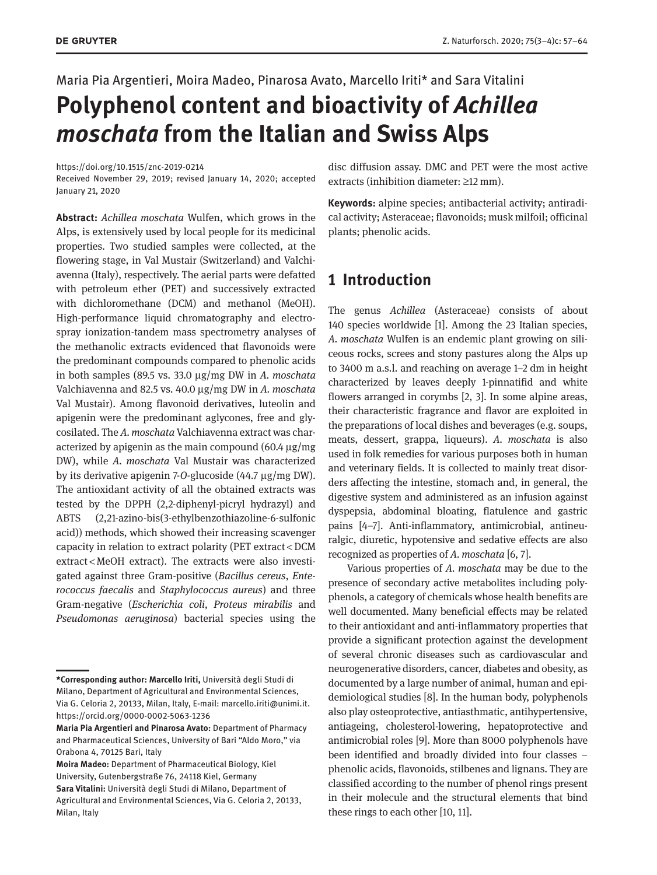Maria Pia Argentieri, Moira Madeo, Pinarosa Avato, Marcello Iriti\* and Sara Vitalini

# **Polyphenol content and bioactivity of** *Achillea moschata* **from the Italian and Swiss Alps**

<https://doi.org/10.1515/znc-2019-0214>

Received November 29, 2019; revised January 14, 2020; accepted January 21, 2020

**Abstract:** *Achillea moschata* Wulfen, which grows in the Alps, is extensively used by local people for its medicinal properties. Two studied samples were collected, at the flowering stage, in Val Mustair (Switzerland) and Valchiavenna (Italy), respectively. The aerial parts were defatted with petroleum ether (PET) and successively extracted with dichloromethane (DCM) and methanol (MeOH). High-performance liquid chromatography and electrospray ionization-tandem mass spectrometry analyses of the methanolic extracts evidenced that flavonoids were the predominant compounds compared to phenolic acids in both samples (89.5 vs. 33.0 μg/mg DW in *A. moschata* Valchiavenna and 82.5 vs. 40.0 μg/mg DW in *A. moschata* Val Mustair). Among flavonoid derivatives, luteolin and apigenin were the predominant aglycones, free and glycosilated. The *A. moschata* Valchiavenna extract was characterized by apigenin as the main compound (60.4 μg/mg DW), while *A. moschata* Val Mustair was characterized by its derivative apigenin 7-*O*-glucoside (44.7 μg/mg DW). The antioxidant activity of all the obtained extracts was tested by the DPPH (2,2-diphenyl-picryl hydrazyl) and ABTS (2,21-azino-bis(3-ethylbenzothiazoline-6-sulfonic acid)) methods, which showed their increasing scavenger capacity in relation to extract polarity (PET extract < DCM extract < MeOH extract). The extracts were also investigated against three Gram-positive (*Bacillus cereus*, *Enterococcus faecalis* and *Staphylococcus aureus*) and three Gram-negative (*Escherichia coli*, *Proteus mirabilis* and *Pseudomonas aeruginosa*) bacterial species using the

**Moira Madeo:** Department of Pharmaceutical Biology, Kiel University, Gutenbergstraße 76, 24118 Kiel, Germany

disc diffusion assay. DMC and PET were the most active extracts (inhibition diameter: ≥12 mm).

**Keywords:** alpine species; antibacterial activity; antiradical activity; Asteraceae; flavonoids; musk milfoil; officinal plants; phenolic acids.

# **1 Introduction**

The genus *Achillea* (Asteraceae) consists of about 140 species worldwide [1]. Among the 23 Italian species, *A. moschata* Wulfen is an endemic plant growing on siliceous rocks, screes and stony pastures along the Alps up to 3400 m a.s.l. and reaching on average 1–2 dm in height characterized by leaves deeply 1-pinnatifid and white flowers arranged in corymbs [2, 3]. In some alpine areas, their characteristic fragrance and flavor are exploited in the preparations of local dishes and beverages (e.g. soups, meats, dessert, grappa, liqueurs). *A. moschata* is also used in folk remedies for various purposes both in human and veterinary fields. It is collected to mainly treat disorders affecting the intestine, stomach and, in general, the digestive system and administered as an infusion against dyspepsia, abdominal bloating, flatulence and gastric pains [4–7]. Anti-inflammatory, antimicrobial, antineuralgic, diuretic, hypotensive and sedative effects are also recognized as properties of *A. moschata* [6, 7].

Various properties of *A. moschata* may be due to the presence of secondary active metabolites including polyphenols, a category of chemicals whose health benefits are well documented. Many beneficial effects may be related to their antioxidant and anti-inflammatory properties that provide a significant protection against the development of several chronic diseases such as cardiovascular and neurogenerative disorders, cancer, diabetes and obesity, as documented by a large number of animal, human and epidemiological studies [8]. In the human body, polyphenols also play osteoprotective, antiasthmatic, antihypertensive, antiageing, cholesterol-lowering, hepatoprotective and antimicrobial roles [9]. More than 8000 polyphenols have been identified and broadly divided into four classes – phenolic acids, flavonoids, stilbenes and lignans. They are classified according to the number of phenol rings present in their molecule and the structural elements that bind these rings to each other [10, 11].

**<sup>\*</sup>Corresponding author: Marcello Iriti,** Università degli Studi di Milano, Department of Agricultural and Environmental Sciences, Via G. Celoria 2, 20133, Milan, Italy, E-mail: [marcello.iriti@unimi.it.](mailto:marcello.iriti@unimi.it) <https://orcid.org/0000-0002-5063-1236>

**Maria Pia Argentieri and Pinarosa Avato:** Department of Pharmacy and Pharmaceutical Sciences, University of Bari "Aldo Moro," via Orabona 4, 70125 Bari, Italy

**Sara Vitalini:** Università degli Studi di Milano, Department of Agricultural and Environmental Sciences, Via G. Celoria 2, 20133, Milan, Italy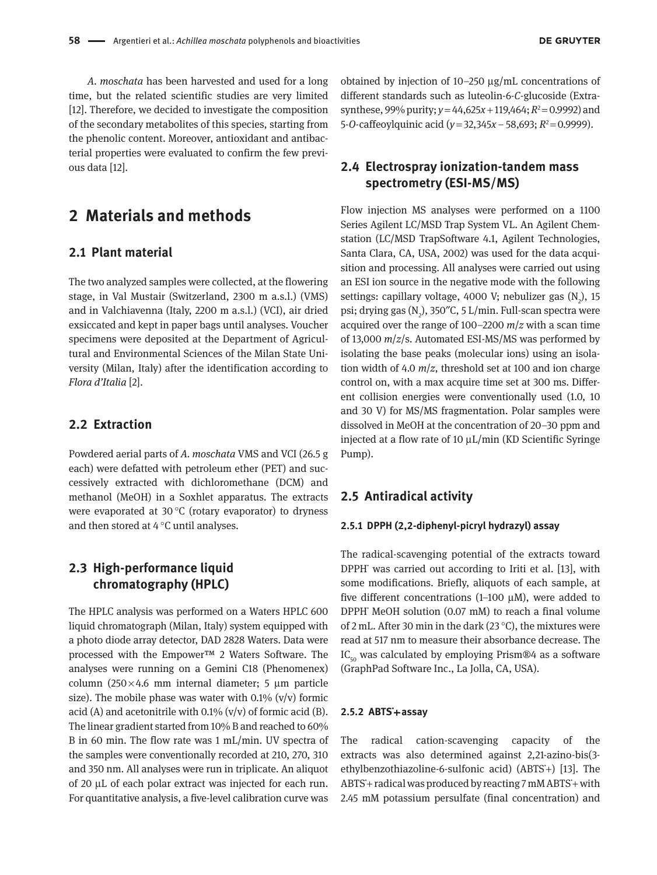*A. moschata* has been harvested and used for a long time, but the related scientific studies are very limited [12]. Therefore, we decided to investigate the composition of the secondary metabolites of this species, starting from the phenolic content. Moreover, antioxidant and antibacterial properties were evaluated to confirm the few previous data [12].

# **2 Materials and methods**

### **2.1 Plant material**

The two analyzed samples were collected, at the flowering stage, in Val Mustair (Switzerland, 2300 m a.s.l.) (VMS) and in Valchiavenna (Italy, 2200 m a.s.l.) (VCI), air dried exsiccated and kept in paper bags until analyses. Voucher specimens were deposited at the Department of Agricultural and Environmental Sciences of the Milan State University (Milan, Italy) after the identification according to *Flora d'Italia* [2].

### **2.2 Extraction**

Powdered aerial parts of *A. moschata* VMS and VCI (26.5 g each) were defatted with petroleum ether (PET) and successively extracted with dichloromethane (DCM) and methanol (MeOH) in a Soxhlet apparatus. The extracts were evaporated at 30 °C (rotary evaporator) to dryness and then stored at 4 °C until analyses.

# **2.3 High-performance liquid chromatography (HPLC)**

The HPLC analysis was performed on a Waters HPLC 600 liquid chromatograph (Milan, Italy) system equipped with a photo diode array detector, DAD 2828 Waters. Data were processed with the Empower™ 2 Waters Software. The analyses were running on a Gemini C18 (Phenomenex) column (250 × 4.6 mm internal diameter; 5 μm particle size). The mobile phase was water with  $0.1\%$  (v/v) formic acid (A) and acetonitrile with  $0.1\%$  (v/v) of formic acid (B). The linear gradient started from 10% B and reached to 60% B in 60 min. The flow rate was 1 mL/min. UV spectra of the samples were conventionally recorded at 210, 270, 310 and 350 nm. All analyses were run in triplicate. An aliquot of 20 μL of each polar extract was injected for each run. For quantitative analysis, a five-level calibration curve was

obtained by injection of 10–250 μg/mL concentrations of different standards such as luteolin-6-*C*-glucoside (Extrasynthese, 99% purity;  $y = 44,625x + 119,464$ ;  $R^2 = 0.9992$ ) and 5-*O*-caffeoylquinic acid (*y* = 32,345*x* – 58,693; *R*<sup>2</sup> = 0.9999).

## **2.4 Electrospray ionization-tandem mass spectrometry (ESI-MS/MS)**

Flow injection MS analyses were performed on a 1100 Series Agilent LC/MSD Trap System VL. An Agilent Chemstation (LC/MSD TrapSoftware 4.1, Agilent Technologies, Santa Clara, CA, USA, 2002) was used for the data acquisition and processing. All analyses were carried out using an ESI ion source in the negative mode with the following settings: capillary voltage, 4000 V; nebulizer gas  $(N_2)$ , 15 psi; drying gas (N<sub>2</sub>), 350"C, 5 L/min. Full-scan spectra were acquired over the range of 100–2200 *m*/*z* with a scan time of 13,000 *m*/*z*/s. Automated ESI-MS/MS was performed by isolating the base peaks (molecular ions) using an isolation width of 4.0 *m*/*z*, threshold set at 100 and ion charge control on, with a max acquire time set at 300 ms. Different collision energies were conventionally used (1.0, 10 and 30 V) for MS/MS fragmentation. Polar samples were dissolved in MeOH at the concentration of 20–30 ppm and injected at a flow rate of 10 μL/min (KD Scientific Syringe Pump).

### **2.5 Antiradical activity**

#### **2.5.1 DPPH (2,2-diphenyl-picryl hydrazyl) assay**

The radical-scavenging potential of the extracts toward DPPH˙ was carried out according to Iriti et al. [13], with some modifications. Briefly, aliquots of each sample, at five different concentrations (1–100 μM), were added to DPPH˙ MeOH solution (0.07 mM) to reach a final volume of 2 mL. After 30 min in the dark (23 °C), the mixtures were read at 517 nm to measure their absorbance decrease. The  $IC_{50}$  was calculated by employing Prism®4 as a software (GraphPad Software Inc., La Jolla, CA, USA).

#### **2.5.2 ABTS˙**+**assay**

The radical cation-scavenging capacity of the extracts was also determined against 2,21-azino-bis(3 ethylbenzothiazoline-6-sulfonic acid) (ABTS<sup>+</sup>) [13]. The ABTS˙+ radical was produced by reacting 7 mM ABTS˙+ with 2.45 mM potassium persulfate (final concentration) and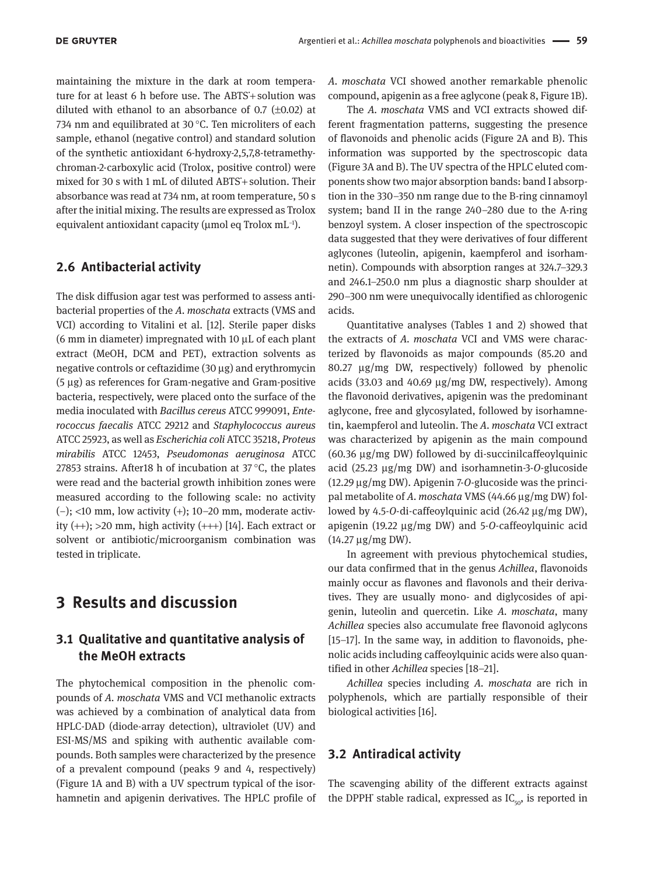maintaining the mixture in the dark at room temperature for at least 6 h before use. The ABTS+solution was diluted with ethanol to an absorbance of  $0.7$  ( $\pm 0.02$ ) at 734 nm and equilibrated at 30 °C. Ten microliters of each sample, ethanol (negative control) and standard solution of the synthetic antioxidant 6-hydroxy-2,5,7,8-tetramethychroman-2-carboxylic acid (Trolox, positive control) were mixed for 30 s with 1 mL of diluted ABTS˙+ solution. Their absorbance was read at 734 nm, at room temperature, 50 s after the initial mixing. The results are expressed as Trolox equivalent antioxidant capacity (μmol eq Trolox mL−1).

### **2.6 Antibacterial activity**

The disk diffusion agar test was performed to assess antibacterial properties of the *A. moschata* extracts (VMS and VCI) according to Vitalini et al. [12]. Sterile paper disks (6 mm in diameter) impregnated with 10 μL of each plant extract (MeOH, DCM and PET), extraction solvents as negative controls or ceftazidime (30 μg) and erythromycin (5 μg) as references for Gram-negative and Gram-positive bacteria, respectively, were placed onto the surface of the media inoculated with *Bacillus cereus* ATCC 999091, *Enterococcus faecalis* ATCC 29212 and *Staphylococcus aureus* ATCC 25923, as well as *Escherichia coli* ATCC 35218, *Proteus mirabilis* ATCC 12453, *Pseudomonas aeruginosa* ATCC 27853 strains. After18 h of incubation at 37 °C, the plates were read and the bacterial growth inhibition zones were measured according to the following scale: no activity (−); <10 mm, low activity (+); 10–20 mm, moderate activity  $(++)$ ; >20 mm, high activity  $(++)$  [14]. Each extract or solvent or antibiotic/microorganism combination was tested in triplicate.

# **3 Results and discussion**

## **3.1 Qualitative and quantitative analysis of the MeOH extracts**

The phytochemical composition in the phenolic compounds of *A. moschata* VMS and VCI methanolic extracts was achieved by a combination of analytical data from HPLC-DAD (diode-array detection), ultraviolet (UV) and ESI-MS/MS and spiking with authentic available compounds. Both samples were characterized by the presence of a prevalent compound (peaks 9 and 4, respectively) (Figure 1A and B) with a UV spectrum typical of the isorhamnetin and apigenin derivatives. The HPLC profile of *A. moschata* VCI showed another remarkable phenolic compound, apigenin as a free aglycone (peak 8, Figure 1B).

The *A. moschata* VMS and VCI extracts showed different fragmentation patterns, suggesting the presence of flavonoids and phenolic acids (Figure 2A and B). This information was supported by the spectroscopic data (Figure 3A and B). The UV spectra of the HPLC eluted components show two major absorption bands: band I absorption in the 330–350 nm range due to the B-ring cinnamoyl system; band II in the range 240–280 due to the A-ring benzoyl system. A closer inspection of the spectroscopic data suggested that they were derivatives of four different aglycones (luteolin, apigenin, kaempferol and isorhamnetin). Compounds with absorption ranges at 324.7–329.3 and 246.1–250.0 nm plus a diagnostic sharp shoulder at 290–300 nm were unequivocally identified as chlorogenic acids.

Quantitative analyses (Tables 1 and 2) showed that the extracts of *A. moschata* VCI and VMS were characterized by flavonoids as major compounds (85.20 and 80.27 μg/mg DW, respectively) followed by phenolic acids (33.03 and 40.69 μg/mg DW, respectively). Among the flavonoid derivatives, apigenin was the predominant aglycone, free and glycosylated, followed by isorhamnetin, kaempferol and luteolin. The *A. moschata* VCI extract was characterized by apigenin as the main compound (60.36 μg/mg DW) followed by di-succinilcaffeoylquinic acid (25.23 μg/mg DW) and isorhamnetin-3-*O*-glucoside (12.29 μg/mg DW). Apigenin 7-*O*-glucoside was the principal metabolite of *A. moschata* VMS (44.66 μg/mg DW) followed by 4.5-*O*-di-caffeoylquinic acid (26.42 μg/mg DW), apigenin (19.22 μg/mg DW) and 5-*O*-caffeoylquinic acid (14.27 μg/mg DW).

In agreement with previous phytochemical studies, our data confirmed that in the genus *Achillea*, flavonoids mainly occur as flavones and flavonols and their derivatives. They are usually mono- and diglycosides of apigenin, luteolin and quercetin. Like *A. moschata*, many *Achillea* species also accumulate free flavonoid aglycons [15–17]. In the same way, in addition to flavonoids, phenolic acids including caffeoylquinic acids were also quantified in other *Achillea* species [18–21].

*Achillea* species including *A. moschata* are rich in polyphenols, which are partially responsible of their biological activities [16].

#### **3.2 Antiradical activity**

The scavenging ability of the different extracts against the DPPH $\checkmark$  stable radical, expressed as IC<sub>50</sub>, is reported in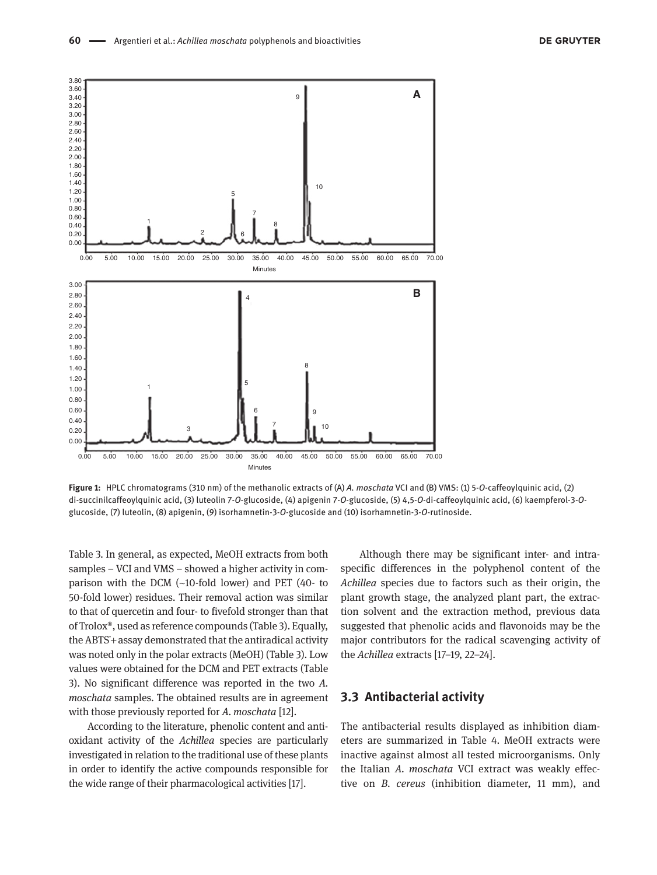

**Figure 1:** HPLC chromatograms (310 nm) of the methanolic extracts of (A) *A. moschata* VCI and (B) VMS: (1) 5-*O*-caffeoylquinic acid, (2) di-succinilcaffeoylquinic acid, (3) luteolin 7-*O*-glucoside, (4) apigenin 7-*O*-glucoside, (5) 4,5-*O*-di-caffeoylquinic acid, (6) kaempferol-3-*O*glucoside, (7) luteolin, (8) apigenin, (9) isorhamnetin-3-*O*-glucoside and (10) isorhamnetin-3-*O*-rutinoside.

Table 3. In general, as expected, MeOH extracts from both samples – VCI and VMS – showed a higher activity in comparison with the DCM (~10-fold lower) and PET (40- to 50-fold lower) residues. Their removal action was similar to that of quercetin and four- to fivefold stronger than that of Trolox®, used as reference compounds (Table 3). Equally, the ABTS˙+ assay demonstrated that the antiradical activity was noted only in the polar extracts (MeOH) (Table 3). Low values were obtained for the DCM and PET extracts (Table 3). No significant difference was reported in the two *A. moschata* samples. The obtained results are in agreement with those previously reported for *A. moschata* [12].

According to the literature, phenolic content and antioxidant activity of the *Achillea* species are particularly investigated in relation to the traditional use of these plants in order to identify the active compounds responsible for the wide range of their pharmacological activities [17].

Although there may be significant inter- and intraspecific differences in the polyphenol content of the *Achillea* species due to factors such as their origin, the plant growth stage, the analyzed plant part, the extraction solvent and the extraction method, previous data suggested that phenolic acids and flavonoids may be the major contributors for the radical scavenging activity of the *Achillea* extracts [17–19, 22–24].

#### **3.3 Antibacterial activity**

The antibacterial results displayed as inhibition diameters are summarized in Table 4. MeOH extracts were inactive against almost all tested microorganisms. Only the Italian *A. moschata* VCI extract was weakly effective on *B. cereus* (inhibition diameter, 11 mm), and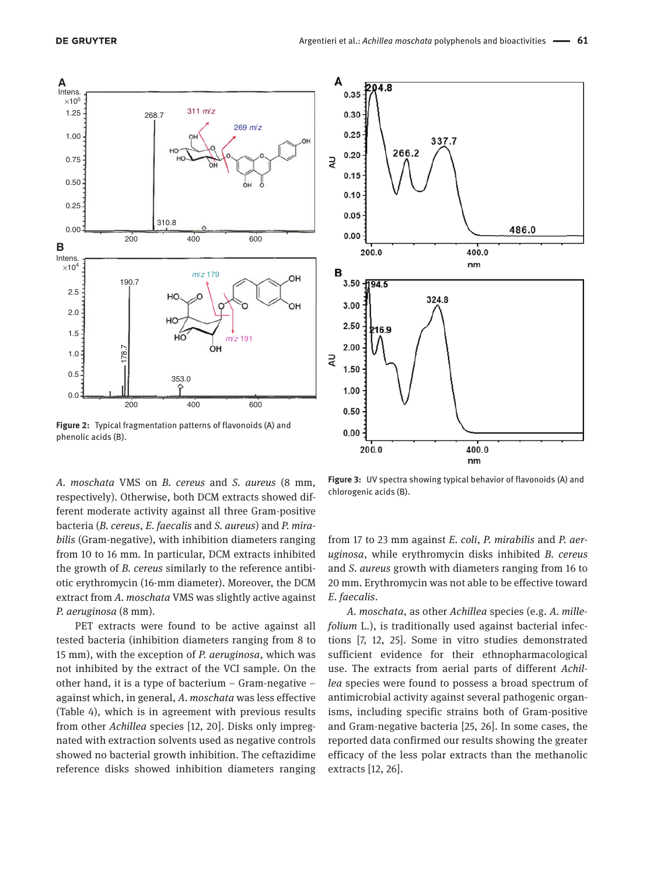

**Figure 2:** Typical fragmentation patterns of flavonoids (A) and phenolic acids (B).

*A. moschata* VMS on *B. cereus* and *S. aureus* (8 mm, respectively). Otherwise, both DCM extracts showed different moderate activity against all three Gram-positive bacteria (*B. cereus*, *E. faecalis* and *S. aureus*) and *P. mirabilis* (Gram-negative), with inhibition diameters ranging from 10 to 16 mm. In particular, DCM extracts inhibited the growth of *B. cereus* similarly to the reference antibiotic erythromycin (16-mm diameter). Moreover, the DCM extract from *A. moschata* VMS was slightly active against *P. aeruginosa* (8 mm).

PET extracts were found to be active against all tested bacteria (inhibition diameters ranging from 8 to 15 mm), with the exception of *P. aeruginosa*, which was not inhibited by the extract of the VCI sample. On the other hand, it is a type of bacterium – Gram-negative – against which, in general, *A. moschata* was less effective (Table 4), which is in agreement with previous results from other *Achillea* species [12, 20]. Disks only impregnated with extraction solvents used as negative controls showed no bacterial growth inhibition. The ceftazidime reference disks showed inhibition diameters ranging



**Figure 3:** UV spectra showing typical behavior of flavonoids (A) and chlorogenic acids (B).

from 17 to 23 mm against *E. coli*, *P. mirabilis* and *P. aeruginosa*, while erythromycin disks inhibited *B. cereus* and *S. aureus* growth with diameters ranging from 16 to 20 mm. Erythromycin was not able to be effective toward *E. faecalis*.

*A. moschata*, as other *Achillea* species (e.g. *A. millefolium* L.), is traditionally used against bacterial infections [7, 12, 25]. Some in vitro studies demonstrated sufficient evidence for their ethnopharmacological use. The extracts from aerial parts of different *Achillea* species were found to possess a broad spectrum of antimicrobial activity against several pathogenic organisms, including specific strains both of Gram-positive and Gram-negative bacteria [25, 26]. In some cases, the reported data confirmed our results showing the greater efficacy of the less polar extracts than the methanolic extracts [12, 26].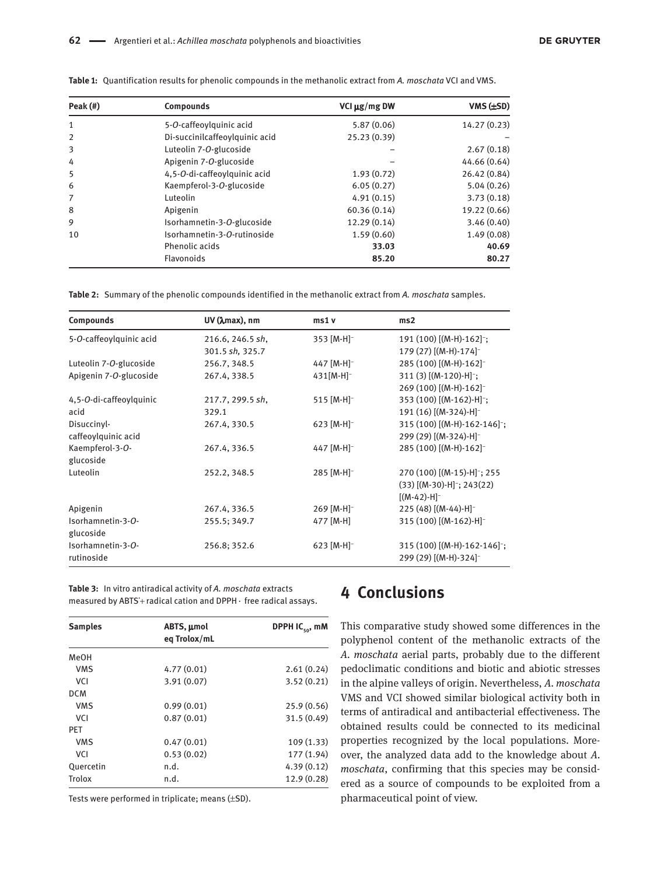| Peak (#)       | <b>Compounds</b>               | VCI $\mu$ g/mg DW | $VMS$ ( $\pm SD$ ) |
|----------------|--------------------------------|-------------------|--------------------|
| $\mathbf{1}$   | 5-O-caffeoylquinic acid        | 5.87(0.06)        | 14.27 (0.23)       |
| $\overline{2}$ | Di-succinilcaffeoylquinic acid | 25.23 (0.39)      |                    |
| 3              | Luteolin 7-O-glucoside         |                   | 2.67(0.18)         |
| 4              | Apigenin 7-O-glucoside         |                   | 44.66 (0.64)       |
| 5              | 4,5-O-di-caffeoylquinic acid   | 1.93(0.72)        | 26.42 (0.84)       |
| 6              | Kaempferol-3-O-glucoside       | 6.05(0.27)        | 5.04(0.26)         |
| 7              | Luteolin                       | 4.91(0.15)        | 3.73(0.18)         |
| 8              | Apigenin                       | 60.36(0.14)       | 19.22 (0.66)       |
| 9              | Isorhamnetin-3-O-glucoside     | 12.29(0.14)       | 3.46(0.40)         |
| 10             | Isorhamnetin-3-O-rutinoside    | 1.59(0.60)        | 1.49(0.08)         |
|                | Phenolic acids                 | 33.03             | 40.69              |
|                | Flavonoids                     | 85.20             | 80.27              |

**Table 1:** Quantification results for phenolic compounds in the methanolic extract from *A. moschata* VCI and VMS.

**Table 2:** Summary of the phenolic compounds identified in the methanolic extract from *A. moschata* samples.

| Compounds               | $UV$ ( $\lambda$ max), nm | ms1v                     | ms2                                       |
|-------------------------|---------------------------|--------------------------|-------------------------------------------|
| 5-O-caffeoylquinic acid | 216.6, 246.5 sh,          | 353 [M-H] <sup>-</sup>   | $191(100)$ [(M-H)- $162$ ] <sup>-</sup> ; |
|                         | 301.5 sh, 325.7           |                          | $179(27)$ [(M-H)-174] <sup>-1</sup>       |
| Luteolin 7-O-glucoside  | 256.7, 348.5              | 447 [M-H] <sup>-</sup>   | 285 (100) [(M-H)-162] <sup>-</sup>        |
| Apigenin 7-O-glucoside  | 267.4, 338.5              | $431$ [M-H] <sup>-</sup> | $311(3)$ [(M-120)-H];                     |
|                         |                           |                          | 269 (100) [(M-H)-162] <sup>-</sup>        |
| 4,5-O-di-caffeoylquinic | 217.7, 299.5 sh,          | $515$ [M-H] <sup>-</sup> | 353 (100) [(M-162)-H] <sup>-</sup> ;      |
| acid                    | 329.1                     |                          | 191 $(16)$ $[(M-324)-H]$ <sup>-</sup>     |
| Disuccinyl-             | 267.4, 330.5              | 623 $[M-H]$ <sup>-</sup> | 315 (100) [(M-H)-162-146];                |
| caffeoylquinic acid     |                           |                          | 299 (29) [(M-324)-H] <sup>-</sup>         |
| Kaempferol-3-O-         | 267.4, 336.5              | 447 [M-H] <sup>-</sup>   | 285 (100) [(M-H)-162] <sup>-</sup>        |
| glucoside               |                           |                          |                                           |
| Luteolin                | 252.2, 348.5              | 285 [M-H] <sup>-</sup>   | 270 (100) [(M-15)-H]; 255                 |
|                         |                           |                          | $(33)$ [(M-30)-H] <sup>-</sup> ; 243(22)  |
|                         |                           |                          | $[(M-42)-H]$ <sup>-</sup>                 |
| Apigenin                | 267.4, 336.5              | $269$ [M-H] <sup>-</sup> | $225(48)$ [(M-44)-H] <sup>-</sup>         |
| Isorhamnetin-3-O-       | 255.5; 349.7              | 477 [M-H]                | 315 (100) [(M-162)-H] <sup>-</sup>        |
| glucoside               |                           |                          |                                           |
| Isorhamnetin-3-O-       | 256.8; 352.6              | 623 $[M-H]$ <sup>-</sup> | 315 (100) [(M-H)-162-146];                |
| rutinoside              |                           |                          | 299 (29) [(M-H)-324] <sup>-</sup>         |

**Table 3:** In vitro antiradical activity of *A. moschata* extracts measured by ABTS˙+ radical cation and DPPH ·  free radical assays.

| <b>Samples</b> | ABTS, µmol<br>eq Trolox/mL | DPPH IC <sub>50</sub> , mM |  |
|----------------|----------------------------|----------------------------|--|
| MeOH           |                            |                            |  |
| <b>VMS</b>     | 4.77(0.01)                 | 2.61(0.24)                 |  |
| <b>VCI</b>     | 3.91(0.07)                 | 3.52(0.21)                 |  |
| <b>DCM</b>     |                            |                            |  |
| <b>VMS</b>     | 0.99(0.01)                 | 25.9 (0.56)                |  |
| <b>VCI</b>     | 0.87(0.01)                 | 31.5(0.49)                 |  |
| <b>PET</b>     |                            |                            |  |
| <b>VMS</b>     | 0.47(0.01)                 | 109 (1.33)                 |  |
| <b>VCI</b>     | 0.53(0.02)                 | 177 (1.94)                 |  |
| Quercetin      | n.d.                       | 4.39(0.12)                 |  |
| <b>Trolox</b>  | n.d.                       | 12.9 (0.28)                |  |

Tests were performed in triplicate; means (±SD).

# **4 Conclusions**

This comparative study showed some differences in the polyphenol content of the methanolic extracts of the *A. moschata* aerial parts, probably due to the different pedoclimatic conditions and biotic and abiotic stresses in the alpine valleys of origin. Nevertheless, *A. moschata* VMS and VCI showed similar biological activity both in terms of antiradical and antibacterial effectiveness. The obtained results could be connected to its medicinal properties recognized by the local populations. Moreover, the analyzed data add to the knowledge about *A. moschata*, confirming that this species may be considered as a source of compounds to be exploited from a pharmaceutical point of view.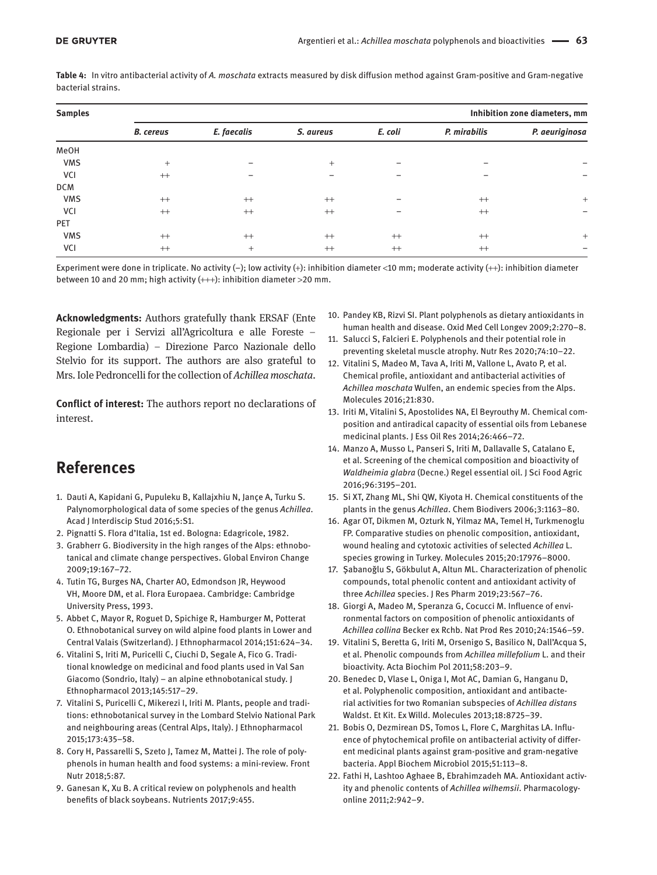**Table 4:** In vitro antibacterial activity of *A. moschata* extracts measured by disk diffusion method against Gram-positive and Gram-negative bacterial strains.

| <b>Samples</b> |                  |             |           |         | Inhibition zone diameters, mm |                          |
|----------------|------------------|-------------|-----------|---------|-------------------------------|--------------------------|
|                | <b>B.</b> cereus | E. faecalis | S. aureus | E. coli | P. mirabilis                  | P. aeuriginosa           |
| MeOH           |                  |             |           |         |                               |                          |
| <b>VMS</b>     | $^{+}$           |             | $^{+}$    |         |                               |                          |
| VCI            | $^{++}$          |             |           |         | -                             | $\overline{\phantom{0}}$ |
| <b>DCM</b>     |                  |             |           |         |                               |                          |
| <b>VMS</b>     | $^{++}$          | $^{++}$     | $^{++}$   |         | $^{++}$                       | $^{+}$                   |
| VCI            | $^{++}$          | $++$        | $^{++}$   |         | $^{++}$                       | -                        |
| PET            |                  |             |           |         |                               |                          |
| <b>VMS</b>     | $^{++}$          | $^{++}$     | $^{++}$   | $^{++}$ | $^{++}$                       | $^{+}$                   |
| VCI            | $^{++}$          | $^{+}$      | $^{++}$   | $^{++}$ | $^{++}$                       |                          |

Experiment were done in triplicate. No activity (−); low activity (+): inhibition diameter <10 mm; moderate activity (++): inhibition diameter between 10 and 20 mm; high activity (+++): inhibition diameter >20 mm.

**Acknowledgments:** Authors gratefully thank ERSAF (Ente Regionale per i Servizi all'Agricoltura e alle Foreste – Regione Lombardia) – Direzione Parco Nazionale dello Stelvio for its support. The authors are also grateful to Mrs. Iole Pedroncelli for the collection of *Achillea moschata*.

**Conflict of interest:** The authors report no declarations of interest.

# **References**

- 1. Dauti A, Kapidani G, Pupuleku B, Kallajxhiu N, Jançe A, Turku S. Palynomorphological data of some species of the genus *Achillea*. Acad J Interdiscip Stud 2016;5:S1.
- 2. Pignatti S. Flora d'Italia, 1st ed. Bologna: Edagricole, 1982.
- 3. Grabherr G. Biodiversity in the high ranges of the Alps: ethnobotanical and climate change perspectives. Global Environ Change 2009;19:167–72.
- 4. Tutin TG, Burges NA, Charter AO, Edmondson JR, Heywood VH, Moore DM, et al. Flora Europaea. Cambridge: Cambridge University Press, 1993.
- 5. Abbet C, Mayor R, Roguet D, Spichige R, Hamburger M, Potterat O. Ethnobotanical survey on wild alpine food plants in Lower and Central Valais (Switzerland). J Ethnopharmacol 2014;151:624–34.
- 6. Vitalini S, Iriti M, Puricelli C, Ciuchi D, Segale A, Fico G. Traditional knowledge on medicinal and food plants used in Val San Giacomo (Sondrio, Italy) – an alpine ethnobotanical study. J Ethnopharmacol 2013;145:517–29.
- 7. Vitalini S, Puricelli C, Mikerezi I, Iriti M. Plants, people and traditions: ethnobotanical survey in the Lombard Stelvio National Park and neighbouring areas (Central Alps, Italy). J Ethnopharmacol 2015;173:435–58.
- 8. Cory H, Passarelli S, Szeto J, Tamez M, Mattei J. The role of polyphenols in human health and food systems: a mini-review. Front Nutr 2018;5:87.
- 9. Ganesan K, Xu B. A critical review on polyphenols and health benefits of black soybeans. Nutrients 2017;9:455.
- 10. Pandey KB, Rizvi SI. Plant polyphenols as dietary antioxidants in human health and disease. Oxid Med Cell Longev 2009;2:270–8.
- 11. Salucci S, Falcieri E. Polyphenols and their potential role in preventing skeletal muscle atrophy. Nutr Res 2020;74:10–22.
- 12. Vitalini S, Madeo M, Tava A, Iriti M, Vallone L, Avato P, et al. Chemical profile, antioxidant and antibacterial activities of *Achillea moschata* Wulfen, an endemic species from the Alps. Molecules 2016;21:830.
- 13. Iriti M, Vitalini S, Apostolides NA, El Beyrouthy M. Chemical composition and antiradical capacity of essential oils from Lebanese medicinal plants. J Ess Oil Res 2014;26:466–72.
- 14. Manzo A, Musso L, Panseri S, Iriti M, Dallavalle S, Catalano E, et al. Screening of the chemical composition and bioactivity of *Waldheimia glabra* (Decne.) Regel essential oil. J Sci Food Agric 2016;96:3195–201.
- 15. Si XT, Zhang ML, Shi QW, Kiyota H. Chemical constituents of the plants in the genus *Achillea*. Chem Biodivers 2006;3:1163–80.
- 16. Agar OT, Dikmen M, Ozturk N, Yilmaz MA, Temel H, Turkmenoglu FP. Comparative studies on phenolic composition, antioxidant, wound healing and cytotoxic activities of selected *Achillea* L. species growing in Turkey. Molecules 2015;20:17976–8000.
- 17. Şabanoğlu S, Gökbulut A, Altun ML. Characterization of phenolic compounds, total phenolic content and antioxidant activity of three *Achillea* species. J Res Pharm 2019;23:567–76.
- 18. Giorgi A, Madeo M, Speranza G, Cocucci M. Influence of environmental factors on composition of phenolic antioxidants of *Achillea collina* Becker ex Rchb. Nat Prod Res 2010;24:1546–59.
- 19. Vitalini S, Beretta G, Iriti M, Orsenigo S, Basilico N, Dall'Acqua S, et al. Phenolic compounds from *Achillea millefolium* L. and their bioactivity. Acta Biochim Pol 2011;58:203–9.
- 20. Benedec D, Vlase L, Oniga I, Mot AC, Damian G, Hanganu D, et al. Polyphenolic composition, antioxidant and antibacterial activities for two Romanian subspecies of *Achillea distans* Waldst. Et Kit. Ex Willd. Molecules 2013;18:8725–39.
- 21. Bobis O, Dezmirean DS, Tomos L, Flore C, Marghitas LA. Influence of phytochemical profile on antibacterial activity of different medicinal plants against gram-positive and gram-negative bacteria. Appl Biochem Microbiol 2015;51:113–8.
- 22. Fathi H, Lashtoo Aghaee B, Ebrahimzadeh MA. Antioxidant activity and phenolic contents of *Achillea wilhemsii*. Pharmacologyonline 2011;2:942–9.